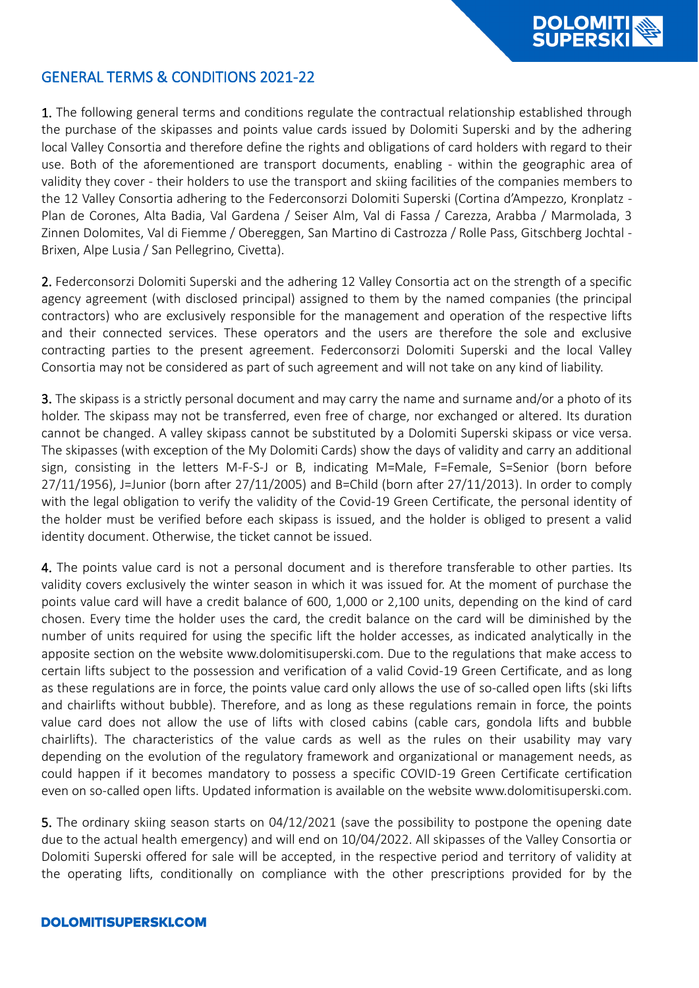

# GENERAL TERMS & CONDITIONS 2021-22

1. The following general terms and conditions regulate the contractual relationship established through the purchase of the skipasses and points value cards issued by Dolomiti Superski and by the adhering local Valley Consortia and therefore define the rights and obligations of card holders with regard to their use. Both of the aforementioned are transport documents, enabling - within the geographic area of validity they cover - their holders to use the transport and skiing facilities of the companies members to the 12 Valley Consortia adhering to the Federconsorzi Dolomiti Superski (Cortina d'Ampezzo, Kronplatz - Plan de Corones, Alta Badia, Val Gardena / Seiser Alm, Val di Fassa / Carezza, Arabba / Marmolada, 3 Zinnen Dolomites, Val di Fiemme / Obereggen, San Martino di Castrozza / Rolle Pass, Gitschberg Jochtal - Brixen, Alpe Lusia / San Pellegrino, Civetta).

2. Federconsorzi Dolomiti Superski and the adhering 12 Valley Consortia act on the strength of a specific agency agreement (with disclosed principal) assigned to them by the named companies (the principal contractors) who are exclusively responsible for the management and operation of the respective lifts and their connected services. These operators and the users are therefore the sole and exclusive contracting parties to the present agreement. Federconsorzi Dolomiti Superski and the local Valley Consortia may not be considered as part of such agreement and will not take on any kind of liability.

3. The skipass is a strictly personal document and may carry the name and surname and/or a photo of its holder. The skipass may not be transferred, even free of charge, nor exchanged or altered. Its duration cannot be changed. A valley skipass cannot be substituted by a Dolomiti Superski skipass or vice versa. The skipasses (with exception of the My Dolomiti Cards) show the days of validity and carry an additional sign, consisting in the letters M-F-S-J or B, indicating M=Male, F=Female, S=Senior (born before 27/11/1956), J=Junior (born after 27/11/2005) and B=Child (born after 27/11/2013). In order to comply with the legal obligation to verify the validity of the Covid-19 Green Certificate, the personal identity of the holder must be verified before each skipass is issued, and the holder is obliged to present a valid identity document. Otherwise, the ticket cannot be issued.

4. The points value card is not a personal document and is therefore transferable to other parties. Its validity covers exclusively the winter season in which it was issued for. At the moment of purchase the points value card will have a credit balance of 600, 1,000 or 2,100 units, depending on the kind of card chosen. Every time the holder uses the card, the credit balance on the card will be diminished by the number of units required for using the specific lift the holder accesses, as indicated analytically in the apposite section on the website www.dolomitisuperski.com. Due to the regulations that make access to certain lifts subject to the possession and verification of a valid Covid-19 Green Certificate, and as long as these regulations are in force, the points value card only allows the use of so-called open lifts (ski lifts and chairlifts without bubble). Therefore, and as long as these regulations remain in force, the points value card does not allow the use of lifts with closed cabins (cable cars, gondola lifts and bubble chairlifts). The characteristics of the value cards as well as the rules on their usability may vary depending on the evolution of the regulatory framework and organizational or management needs, as could happen if it becomes mandatory to possess a specific COVID-19 Green Certificate certification even on so-called open lifts. Updated information is available on the website www.dolomitisuperski.com.

5. The ordinary skiing season starts on 04/12/2021 (save the possibility to postpone the opening date due to the actual health emergency) and will end on 10/04/2022. All skipasses of the Valley Consortia or Dolomiti Superski offered for sale will be accepted, in the respective period and territory of validity at the operating lifts, conditionally on compliance with the other prescriptions provided for by the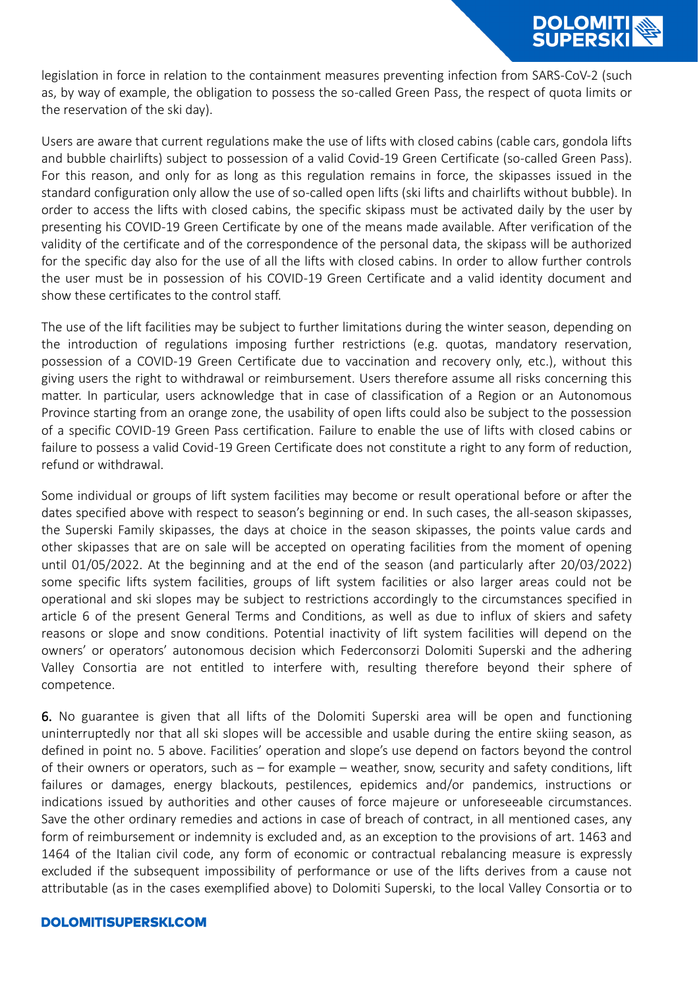legislation in force in relation to the containment measures preventing infection from SARS-CoV-2 (such as, by way of example, the obligation to possess the so-called Green Pass, the respect of quota limits or the reservation of the ski day).

Users are aware that current regulations make the use of lifts with closed cabins (cable cars, gondola lifts and bubble chairlifts) subject to possession of a valid Covid-19 Green Certificate (so-called Green Pass). For this reason, and only for as long as this regulation remains in force, the skipasses issued in the standard configuration only allow the use of so-called open lifts (ski lifts and chairlifts without bubble). In order to access the lifts with closed cabins, the specific skipass must be activated daily by the user by presenting his COVID-19 Green Certificate by one of the means made available. After verification of the validity of the certificate and of the correspondence of the personal data, the skipass will be authorized for the specific day also for the use of all the lifts with closed cabins. In order to allow further controls the user must be in possession of his COVID-19 Green Certificate and a valid identity document and show these certificates to the control staff.

The use of the lift facilities may be subject to further limitations during the winter season, depending on the introduction of regulations imposing further restrictions (e.g. quotas, mandatory reservation, possession of a COVID-19 Green Certificate due to vaccination and recovery only, etc.), without this giving users the right to withdrawal or reimbursement. Users therefore assume all risks concerning this matter. In particular, users acknowledge that in case of classification of a Region or an Autonomous Province starting from an orange zone, the usability of open lifts could also be subject to the possession of a specific COVID-19 Green Pass certification. Failure to enable the use of lifts with closed cabins or failure to possess a valid Covid-19 Green Certificate does not constitute a right to any form of reduction, refund or withdrawal.

Some individual or groups of lift system facilities may become or result operational before or after the dates specified above with respect to season's beginning or end. In such cases, the all-season skipasses, the Superski Family skipasses, the days at choice in the season skipasses, the points value cards and other skipasses that are on sale will be accepted on operating facilities from the moment of opening until 01/05/2022. At the beginning and at the end of the season (and particularly after 20/03/2022) some specific lifts system facilities, groups of lift system facilities or also larger areas could not be operational and ski slopes may be subject to restrictions accordingly to the circumstances specified in article 6 of the present General Terms and Conditions, as well as due to influx of skiers and safety reasons or slope and snow conditions. Potential inactivity of lift system facilities will depend on the owners' or operators' autonomous decision which Federconsorzi Dolomiti Superski and the adhering Valley Consortia are not entitled to interfere with, resulting therefore beyond their sphere of competence.

6. No guarantee is given that all lifts of the Dolomiti Superski area will be open and functioning uninterruptedly nor that all ski slopes will be accessible and usable during the entire skiing season, as defined in point no. 5 above. Facilities' operation and slope's use depend on factors beyond the control of their owners or operators, such as – for example – weather, snow, security and safety conditions, lift failures or damages, energy blackouts, pestilences, epidemics and/or pandemics, instructions or indications issued by authorities and other causes of force majeure or unforeseeable circumstances. Save the other ordinary remedies and actions in case of breach of contract, in all mentioned cases, any form of reimbursement or indemnity is excluded and, as an exception to the provisions of art. 1463 and 1464 of the Italian civil code, any form of economic or contractual rebalancing measure is expressly excluded if the subsequent impossibility of performance or use of the lifts derives from a cause not attributable (as in the cases exemplified above) to Dolomiti Superski, to the local Valley Consortia or to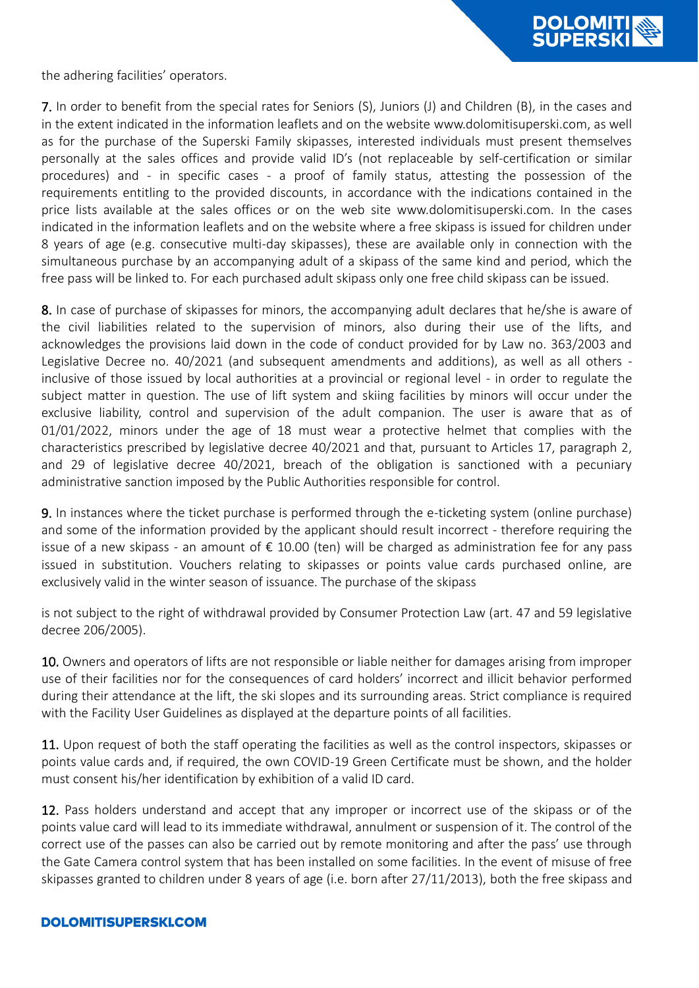the adhering facilities' operators.

7. In order to benefit from the special rates for Seniors (S), Juniors (J) and Children (B), in the cases and in the extent indicated in the information leaflets and on the website www.dolomitisuperski.com, as well as for the purchase of the Superski Family skipasses, interested individuals must present themselves personally at the sales offices and provide valid ID's (not replaceable by self-certification or similar procedures) and - in specific cases - a proof of family status, attesting the possession of the requirements entitling to the provided discounts, in accordance with the indications contained in the price lists available at the sales offices or on the web site www.dolomitisuperski.com. In the cases indicated in the information leaflets and on the website where a free skipass is issued for children under 8 years of age (e.g. consecutive multi-day skipasses), these are available only in connection with the simultaneous purchase by an accompanying adult of a skipass of the same kind and period, which the free pass will be linked to. For each purchased adult skipass only one free child skipass can be issued.

8. In case of purchase of skipasses for minors, the accompanying adult declares that he/she is aware of the civil liabilities related to the supervision of minors, also during their use of the lifts, and acknowledges the provisions laid down in the code of conduct provided for by Law no. 363/2003 and Legislative Decree no. 40/2021 (and subsequent amendments and additions), as well as all others inclusive of those issued by local authorities at a provincial or regional level - in order to regulate the subject matter in question. The use of lift system and skiing facilities by minors will occur under the exclusive liability, control and supervision of the adult companion. The user is aware that as of 01/01/2022, minors under the age of 18 must wear a protective helmet that complies with the characteristics prescribed by legislative decree 40/2021 and that, pursuant to Articles 17, paragraph 2, and 29 of legislative decree 40/2021, breach of the obligation is sanctioned with a pecuniary administrative sanction imposed by the Public Authorities responsible for control.

9. In instances where the ticket purchase is performed through the e-ticketing system (online purchase) and some of the information provided by the applicant should result incorrect - therefore requiring the issue of a new skipass - an amount of € 10.00 (ten) will be charged as administration fee for any pass issued in substitution. Vouchers relating to skipasses or points value cards purchased online, are exclusively valid in the winter season of issuance. The purchase of the skipass

is not subject to the right of withdrawal provided by Consumer Protection Law (art. 47 and 59 legislative decree 206/2005).

10. Owners and operators of lifts are not responsible or liable neither for damages arising from improper use of their facilities nor for the consequences of card holders' incorrect and illicit behavior performed during their attendance at the lift, the ski slopes and its surrounding areas. Strict compliance is required with the Facility User Guidelines as displayed at the departure points of all facilities.

11. Upon request of both the staff operating the facilities as well as the control inspectors, skipasses or points value cards and, if required, the own COVID-19 Green Certificate must be shown, and the holder must consent his/her identification by exhibition of a valid ID card.

12. Pass holders understand and accept that any improper or incorrect use of the skipass or of the points value card will lead to its immediate withdrawal, annulment or suspension of it. The control of the correct use of the passes can also be carried out by remote monitoring and after the pass' use through the Gate Camera control system that has been installed on some facilities. In the event of misuse of free skipasses granted to children under 8 years of age (i.e. born after 27/11/2013), both the free skipass and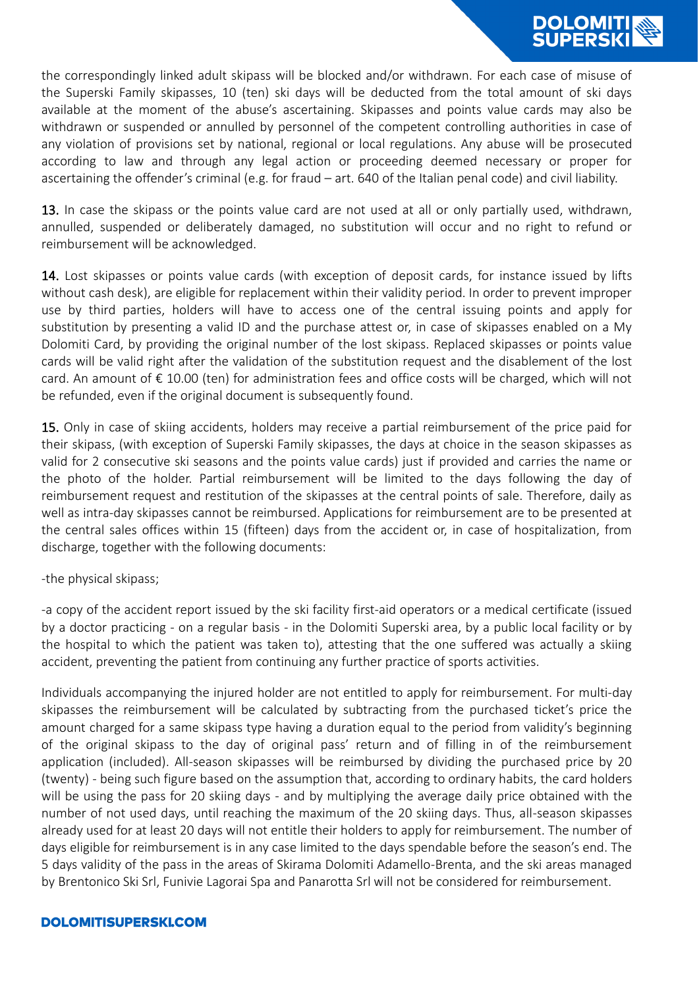the correspondingly linked adult skipass will be blocked and/or withdrawn. For each case of misuse of the Superski Family skipasses, 10 (ten) ski days will be deducted from the total amount of ski days available at the moment of the abuse's ascertaining. Skipasses and points value cards may also be withdrawn or suspended or annulled by personnel of the competent controlling authorities in case of any violation of provisions set by national, regional or local regulations. Any abuse will be prosecuted according to law and through any legal action or proceeding deemed necessary or proper for ascertaining the offender's criminal (e.g. for fraud – art. 640 of the Italian penal code) and civil liability.

13. In case the skipass or the points value card are not used at all or only partially used, withdrawn, annulled, suspended or deliberately damaged, no substitution will occur and no right to refund or reimbursement will be acknowledged.

14. Lost skipasses or points value cards (with exception of deposit cards, for instance issued by lifts without cash desk), are eligible for replacement within their validity period. In order to prevent improper use by third parties, holders will have to access one of the central issuing points and apply for substitution by presenting a valid ID and the purchase attest or, in case of skipasses enabled on a My Dolomiti Card, by providing the original number of the lost skipass. Replaced skipasses or points value cards will be valid right after the validation of the substitution request and the disablement of the lost card. An amount of  $\epsilon$  10.00 (ten) for administration fees and office costs will be charged, which will not be refunded, even if the original document is subsequently found.

15. Only in case of skiing accidents, holders may receive a partial reimbursement of the price paid for their skipass, (with exception of Superski Family skipasses, the days at choice in the season skipasses as valid for 2 consecutive ski seasons and the points value cards) just if provided and carries the name or the photo of the holder. Partial reimbursement will be limited to the days following the day of reimbursement request and restitution of the skipasses at the central points of sale. Therefore, daily as well as intra-day skipasses cannot be reimbursed. Applications for reimbursement are to be presented at the central sales offices within 15 (fifteen) days from the accident or, in case of hospitalization, from discharge, together with the following documents:

-the physical skipass;

-a copy of the accident report issued by the ski facility first-aid operators or a medical certificate (issued by a doctor practicing - on a regular basis - in the Dolomiti Superski area, by a public local facility or by the hospital to which the patient was taken to), attesting that the one suffered was actually a skiing accident, preventing the patient from continuing any further practice of sports activities.

Individuals accompanying the injured holder are not entitled to apply for reimbursement. For multi-day skipasses the reimbursement will be calculated by subtracting from the purchased ticket's price the amount charged for a same skipass type having a duration equal to the period from validity's beginning of the original skipass to the day of original pass' return and of filling in of the reimbursement application (included). All-season skipasses will be reimbursed by dividing the purchased price by 20 (twenty) - being such figure based on the assumption that, according to ordinary habits, the card holders will be using the pass for 20 skiing days - and by multiplying the average daily price obtained with the number of not used days, until reaching the maximum of the 20 skiing days. Thus, all-season skipasses already used for at least 20 days will not entitle their holders to apply for reimbursement. The number of days eligible for reimbursement is in any case limited to the days spendable before the season's end. The 5 days validity of the pass in the areas of Skirama Dolomiti Adamello-Brenta, and the ski areas managed by Brentonico Ski Srl, Funivie Lagorai Spa and Panarotta Srl will not be considered for reimbursement.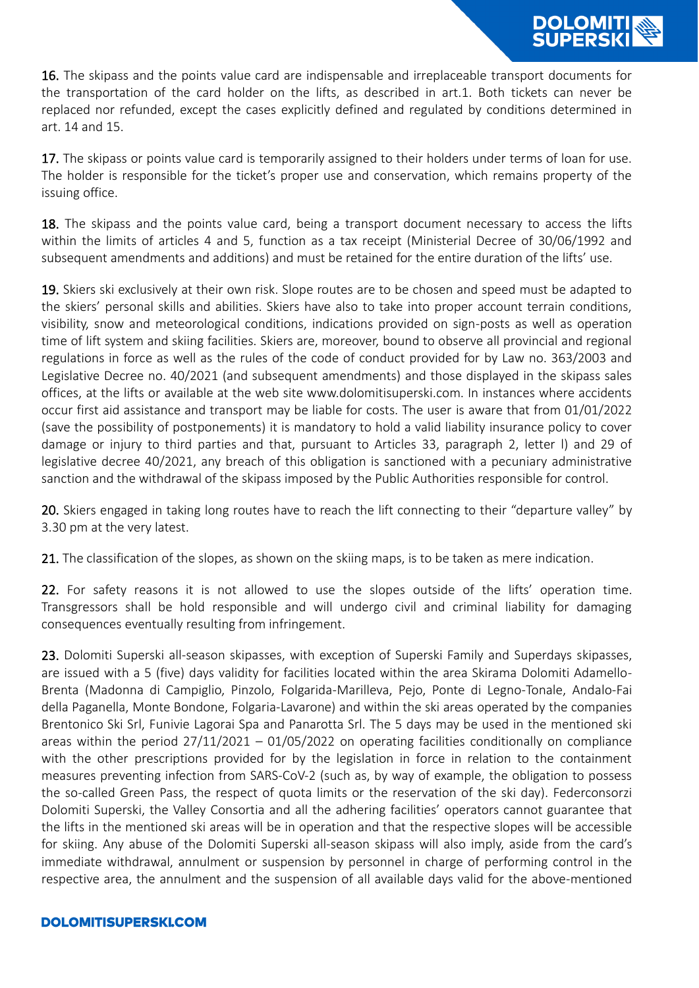16. The skipass and the points value card are indispensable and irreplaceable transport documents for the transportation of the card holder on the lifts, as described in art.1. Both tickets can never be replaced nor refunded, except the cases explicitly defined and regulated by conditions determined in art. 14 and 15.

17. The skipass or points value card is temporarily assigned to their holders under terms of loan for use. The holder is responsible for the ticket's proper use and conservation, which remains property of the issuing office.

18. The skipass and the points value card, being a transport document necessary to access the lifts within the limits of articles 4 and 5, function as a tax receipt (Ministerial Decree of 30/06/1992 and subsequent amendments and additions) and must be retained for the entire duration of the lifts' use.

19. Skiers ski exclusively at their own risk. Slope routes are to be chosen and speed must be adapted to the skiers' personal skills and abilities. Skiers have also to take into proper account terrain conditions, visibility, snow and meteorological conditions, indications provided on sign-posts as well as operation time of lift system and skiing facilities. Skiers are, moreover, bound to observe all provincial and regional regulations in force as well as the rules of the code of conduct provided for by Law no. 363/2003 and Legislative Decree no. 40/2021 (and subsequent amendments) and those displayed in the skipass sales offices, at the lifts or available at the web site www.dolomitisuperski.com. In instances where accidents occur first aid assistance and transport may be liable for costs. The user is aware that from 01/01/2022 (save the possibility of postponements) it is mandatory to hold a valid liability insurance policy to cover damage or injury to third parties and that, pursuant to Articles 33, paragraph 2, letter l) and 29 of legislative decree 40/2021, any breach of this obligation is sanctioned with a pecuniary administrative sanction and the withdrawal of the skipass imposed by the Public Authorities responsible for control.

20. Skiers engaged in taking long routes have to reach the lift connecting to their "departure valley" by 3.30 pm at the very latest.

21. The classification of the slopes, as shown on the skiing maps, is to be taken as mere indication.

22. For safety reasons it is not allowed to use the slopes outside of the lifts' operation time. Transgressors shall be hold responsible and will undergo civil and criminal liability for damaging consequences eventually resulting from infringement.

23. Dolomiti Superski all-season skipasses, with exception of Superski Family and Superdays skipasses, are issued with a 5 (five) days validity for facilities located within the area Skirama Dolomiti Adamello-Brenta (Madonna di Campiglio, Pinzolo, Folgarida-Marilleva, Pejo, Ponte di Legno-Tonale, Andalo-Fai della Paganella, Monte Bondone, Folgaria-Lavarone) and within the ski areas operated by the companies Brentonico Ski Srl, Funivie Lagorai Spa and Panarotta Srl. The 5 days may be used in the mentioned ski areas within the period  $27/11/2021 - 01/05/2022$  on operating facilities conditionally on compliance with the other prescriptions provided for by the legislation in force in relation to the containment measures preventing infection from SARS-CoV-2 (such as, by way of example, the obligation to possess the so-called Green Pass, the respect of quota limits or the reservation of the ski day). Federconsorzi Dolomiti Superski, the Valley Consortia and all the adhering facilities' operators cannot guarantee that the lifts in the mentioned ski areas will be in operation and that the respective slopes will be accessible for skiing. Any abuse of the Dolomiti Superski all-season skipass will also imply, aside from the card's immediate withdrawal, annulment or suspension by personnel in charge of performing control in the respective area, the annulment and the suspension of all available days valid for the above-mentioned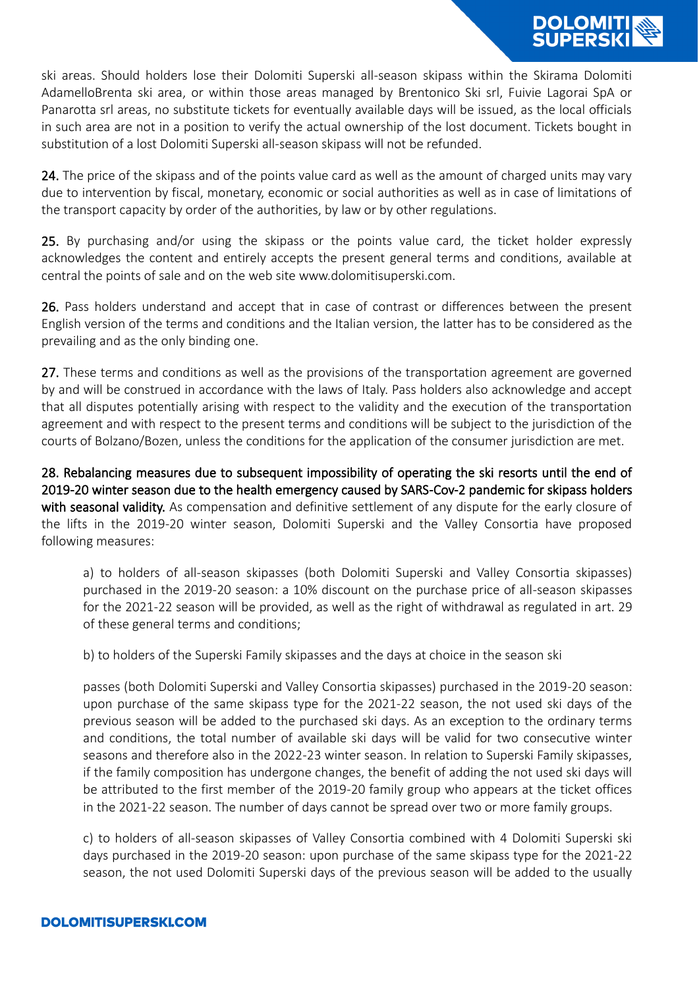ski areas. Should holders lose their Dolomiti Superski all-season skipass within the Skirama Dolomiti AdamelloBrenta ski area, or within those areas managed by Brentonico Ski srl, Fuivie Lagorai SpA or Panarotta srl areas, no substitute tickets for eventually available days will be issued, as the local officials in such area are not in a position to verify the actual ownership of the lost document. Tickets bought in substitution of a lost Dolomiti Superski all-season skipass will not be refunded.

24. The price of the skipass and of the points value card as well as the amount of charged units may vary due to intervention by fiscal, monetary, economic or social authorities as well as in case of limitations of the transport capacity by order of the authorities, by law or by other regulations.

25. By purchasing and/or using the skipass or the points value card, the ticket holder expressly acknowledges the content and entirely accepts the present general terms and conditions, available at central the points of sale and on the web site www.dolomitisuperski.com.

26. Pass holders understand and accept that in case of contrast or differences between the present English version of the terms and conditions and the Italian version, the latter has to be considered as the prevailing and as the only binding one.

27. These terms and conditions as well as the provisions of the transportation agreement are governed by and will be construed in accordance with the laws of Italy. Pass holders also acknowledge and accept that all disputes potentially arising with respect to the validity and the execution of the transportation agreement and with respect to the present terms and conditions will be subject to the jurisdiction of the courts of Bolzano/Bozen, unless the conditions for the application of the consumer jurisdiction are met.

28. Rebalancing measures due to subsequent impossibility of operating the ski resorts until the end of 2019-20 winter season due to the health emergency caused by SARS-Cov-2 pandemic for skipass holders with seasonal validity. As compensation and definitive settlement of any dispute for the early closure of the lifts in the 2019-20 winter season, Dolomiti Superski and the Valley Consortia have proposed following measures:

a) to holders of all-season skipasses (both Dolomiti Superski and Valley Consortia skipasses) purchased in the 2019-20 season: a 10% discount on the purchase price of all-season skipasses for the 2021-22 season will be provided, as well as the right of withdrawal as regulated in art. 29 of these general terms and conditions;

b) to holders of the Superski Family skipasses and the days at choice in the season ski

passes (both Dolomiti Superski and Valley Consortia skipasses) purchased in the 2019-20 season: upon purchase of the same skipass type for the 2021-22 season, the not used ski days of the previous season will be added to the purchased ski days. As an exception to the ordinary terms and conditions, the total number of available ski days will be valid for two consecutive winter seasons and therefore also in the 2022-23 winter season. In relation to Superski Family skipasses, if the family composition has undergone changes, the benefit of adding the not used ski days will be attributed to the first member of the 2019-20 family group who appears at the ticket offices in the 2021-22 season. The number of days cannot be spread over two or more family groups.

c) to holders of all-season skipasses of Valley Consortia combined with 4 Dolomiti Superski ski days purchased in the 2019-20 season: upon purchase of the same skipass type for the 2021-22 season, the not used Dolomiti Superski days of the previous season will be added to the usually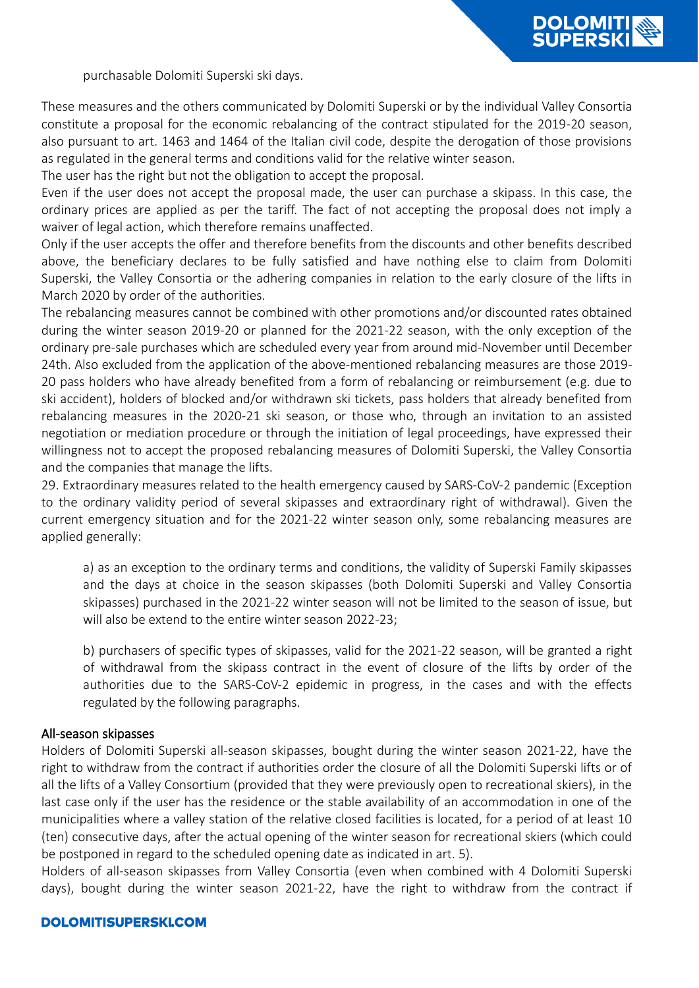purchasable Dolomiti Superski ski days.

These measures and the others communicated by Dolomiti Superski or by the individual Valley Consortia constitute a proposal for the economic rebalancing of the contract stipulated for the 2019-20 season, also pursuant to art. 1463 and 1464 of the Italian civil code, despite the derogation of those provisions as regulated in the general terms and conditions valid for the relative winter season.

The user has the right but not the obligation to accept the proposal.

Even if the user does not accept the proposal made, the user can purchase a skipass. In this case, the ordinary prices are applied as per the tariff. The fact of not accepting the proposal does not imply a waiver of legal action, which therefore remains unaffected.

Only if the user accepts the offer and therefore benefits from the discounts and other benefits described above, the beneficiary declares to be fully satisfied and have nothing else to claim from Dolomiti Superski, the Valley Consortia or the adhering companies in relation to the early closure of the lifts in March 2020 by order of the authorities.

The rebalancing measures cannot be combined with other promotions and/or discounted rates obtained during the winter season 2019-20 or planned for the 2021-22 season, with the only exception of the ordinary pre-sale purchases which are scheduled every year from around mid-November until December 24th. Also excluded from the application of the above-mentioned rebalancing measures are those 2019- 20 pass holders who have already benefited from a form of rebalancing or reimbursement (e.g. due to ski accident), holders of blocked and/or withdrawn ski tickets, pass holders that already benefited from rebalancing measures in the 2020-21 ski season, or those who, through an invitation to an assisted negotiation or mediation procedure or through the initiation of legal proceedings, have expressed their willingness not to accept the proposed rebalancing measures of Dolomiti Superski, the Valley Consortia and the companies that manage the lifts.

29. Extraordinary measures related to the health emergency caused by SARS-CoV-2 pandemic (Exception to the ordinary validity period of several skipasses and extraordinary right of withdrawal). Given the current emergency situation and for the 2021-22 winter season only, some rebalancing measures are applied generally:

a) as an exception to the ordinary terms and conditions, the validity of Superski Family skipasses and the days at choice in the season skipasses (both Dolomiti Superski and Valley Consortia skipasses) purchased in the 2021-22 winter season will not be limited to the season of issue, but will also be extend to the entire winter season 2022-23;

b) purchasers of specific types of skipasses, valid for the 2021-22 season, will be granted a right of withdrawal from the skipass contract in the event of closure of the lifts by order of the authorities due to the SARS-CoV-2 epidemic in progress, in the cases and with the effects regulated by the following paragraphs.

#### All-season skipasses

Holders of Dolomiti Superski all-season skipasses, bought during the winter season 2021-22, have the right to withdraw from the contract if authorities order the closure of all the Dolomiti Superski lifts or of all the lifts of a Valley Consortium (provided that they were previously open to recreational skiers), in the last case only if the user has the residence or the stable availability of an accommodation in one of the municipalities where a valley station of the relative closed facilities is located, for a period of at least 10 (ten) consecutive days, after the actual opening of the winter season for recreational skiers (which could be postponed in regard to the scheduled opening date as indicated in art. 5).

Holders of all-season skipasses from Valley Consortia (even when combined with 4 Dolomiti Superski days), bought during the winter season 2021-22, have the right to withdraw from the contract if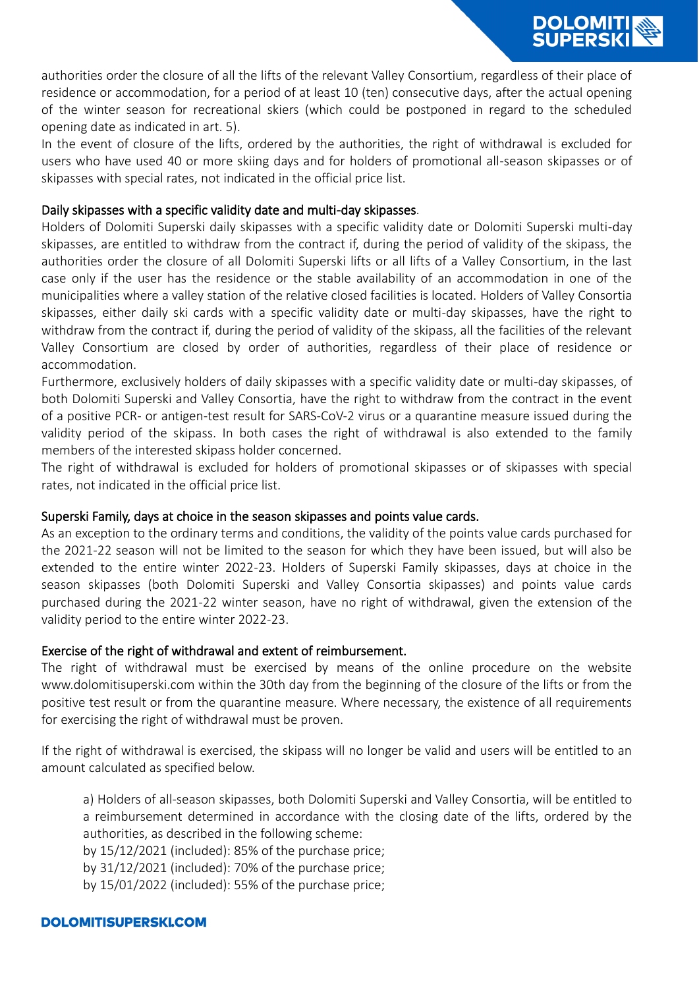authorities order the closure of all the lifts of the relevant Valley Consortium, regardless of their place of residence or accommodation, for a period of at least 10 (ten) consecutive days, after the actual opening of the winter season for recreational skiers (which could be postponed in regard to the scheduled opening date as indicated in art. 5).

In the event of closure of the lifts, ordered by the authorities, the right of withdrawal is excluded for users who have used 40 or more skiing days and for holders of promotional all-season skipasses or of skipasses with special rates, not indicated in the official price list.

### Daily skipasses with a specific validity date and multi-day skipasses.

Holders of Dolomiti Superski daily skipasses with a specific validity date or Dolomiti Superski multi-day skipasses, are entitled to withdraw from the contract if, during the period of validity of the skipass, the authorities order the closure of all Dolomiti Superski lifts or all lifts of a Valley Consortium, in the last case only if the user has the residence or the stable availability of an accommodation in one of the municipalities where a valley station of the relative closed facilities is located. Holders of Valley Consortia skipasses, either daily ski cards with a specific validity date or multi-day skipasses, have the right to withdraw from the contract if, during the period of validity of the skipass, all the facilities of the relevant Valley Consortium are closed by order of authorities, regardless of their place of residence or accommodation.

Furthermore, exclusively holders of daily skipasses with a specific validity date or multi-day skipasses, of both Dolomiti Superski and Valley Consortia, have the right to withdraw from the contract in the event of a positive PCR- or antigen-test result for SARS-CoV-2 virus or a quarantine measure issued during the validity period of the skipass. In both cases the right of withdrawal is also extended to the family members of the interested skipass holder concerned.

The right of withdrawal is excluded for holders of promotional skipasses or of skipasses with special rates, not indicated in the official price list.

## Superski Family, days at choice in the season skipasses and points value cards.

As an exception to the ordinary terms and conditions, the validity of the points value cards purchased for the 2021-22 season will not be limited to the season for which they have been issued, but will also be extended to the entire winter 2022-23. Holders of Superski Family skipasses, days at choice in the season skipasses (both Dolomiti Superski and Valley Consortia skipasses) and points value cards purchased during the 2021-22 winter season, have no right of withdrawal, given the extension of the validity period to the entire winter 2022-23.

### Exercise of the right of withdrawal and extent of reimbursement.

The right of withdrawal must be exercised by means of the online procedure on the website www.dolomitisuperski.com within the 30th day from the beginning of the closure of the lifts or from the positive test result or from the quarantine measure. Where necessary, the existence of all requirements for exercising the right of withdrawal must be proven.

If the right of withdrawal is exercised, the skipass will no longer be valid and users will be entitled to an amount calculated as specified below.

a) Holders of all-season skipasses, both Dolomiti Superski and Valley Consortia, will be entitled to a reimbursement determined in accordance with the closing date of the lifts, ordered by the authorities, as described in the following scheme:

by 15/12/2021 (included): 85% of the purchase price;

by 31/12/2021 (included): 70% of the purchase price;

by 15/01/2022 (included): 55% of the purchase price;